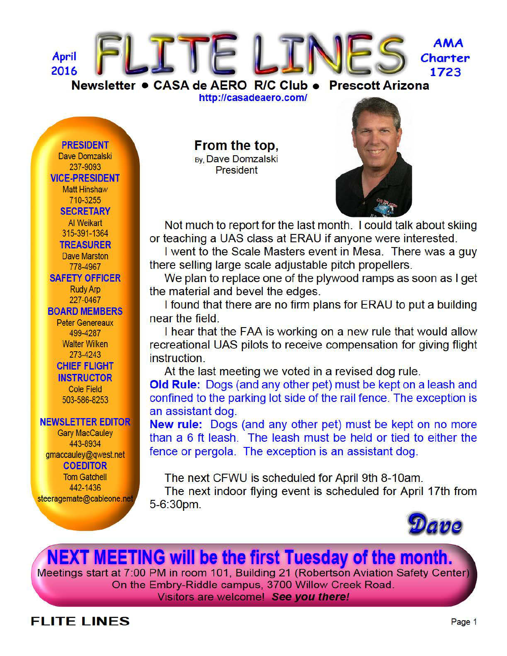

http://casadeaero.com/

#### **PRESIDENT**

Dave Domzalski 237-9093 **VICE-PRESIDENT Matt Hinshaw** 710-3255 **SECRETARY** Al Weikart 315-391-1364 **TREASURER Dave Marston** 778-4967 **SAFETY OFFICER Rudy Arp** 227-0467 **BOARD MEMBERS Peter Genereaux** 499-4287 **Walter Wilken** 273-4243 **CHIEF FLIGHT INSTRUCTOR Cole Field** 503-586-8253

#### **NEWSLETTER EDITOR**

**Gary MacCauley** 443-8934 gmaccauley@gwest.net **COEDITOR Tom Gatchell** 442-1436 steeragemate@cableone.net

# From the top,

**By, Dave Domzalski President** 



Not much to report for the last month. I could talk about skiing or teaching a UAS class at ERAU if anyone were interested.

I went to the Scale Masters event in Mesa. There was a guy there selling large scale adjustable pitch propellers.

We plan to replace one of the plywood ramps as soon as I get the material and bevel the edges.

I found that there are no firm plans for ERAU to put a building near the field.

I hear that the FAA is working on a new rule that would allow recreational UAS pilots to receive compensation for giving flight instruction.

At the last meeting we voted in a revised dog rule.

Old Rule: Dogs (and any other pet) must be kept on a leash and confined to the parking lot side of the rail fence. The exception is an assistant dog.

New rule: Dogs (and any other pet) must be kept on no more than a 6 ft leash. The leash must be held or tied to either the fence or pergola. The exception is an assistant dog.

The next CFWU is scheduled for April 9th 8-10am.

The next indoor flying event is scheduled for April 17th from  $5 - 6:30$ pm.



# **NEXT MEETING will be the first Tuesday of the month.**

Meetings start at 7:00 PM in room 101, Building 21 (Robertson Aviation Safety Center) On the Embry-Riddle campus, 3700 Willow Creek Road. Visitors are welcome! See you there!

## **FLITE LINES**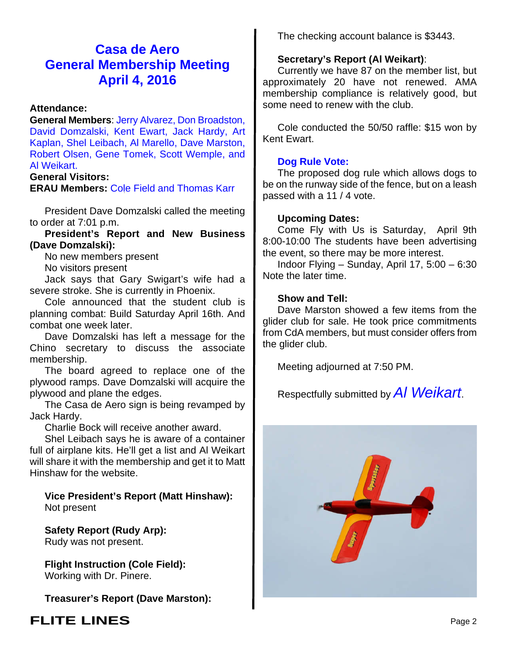## **Casa de Aero General Membership Meeting April 4, 2016**

## **Attendance:**

**General Members**: Jerry Alvarez, Don Broadston, David Domzalski, Kent Ewart, Jack Hardy, Art Kaplan, Shel Leibach, Al Marello, Dave Marston, Robert Olsen, Gene Tomek, Scott Wemple, and Al Weikart.

### **General Visitors:**

**ERAU Members:** Cole Field and Thomas Karr

President Dave Domzalski called the meeting to order at 7:01 p.m.

**President's Report and New Business (Dave Domzalski):**

No new members present

No visitors present

Jack says that Gary Swigart's wife had a severe stroke. She is currently in Phoenix.

Cole announced that the student club is planning combat: Build Saturday April 16th. And combat one week later.

Dave Domzalski has left a message for the Chino secretary to discuss the associate membership.

The board agreed to replace one of the plywood ramps. Dave Domzalski will acquire the plywood and plane the edges.

The Casa de Aero sign is being revamped by Jack Hardy.

Charlie Bock will receive another award.

Shel Leibach says he is aware of a container full of airplane kits. He'll get a list and Al Weikart will share it with the membership and get it to Matt Hinshaw for the website.

**Vice President's Report (Matt Hinshaw):** Not present

**Safety Report (Rudy Arp):** Rudy was not present.

**Flight Instruction (Cole Field):** Working with Dr. Pinere.

**Treasurer's Report (Dave Marston):**

## The checking account balance is \$3443.

## **Secretary's Report (Al Weikart)**:

Currently we have 87 on the member list, but approximately 20 have not renewed. AMA membership compliance is relatively good, but some need to renew with the club.

Cole conducted the 50/50 raffle: \$15 won by Kent Ewart.

## **Dog Rule Vote:**

The proposed dog rule which allows dogs to be on the runway side of the fence, but on a leash passed with a 11 / 4 vote.

### **Upcoming Dates:**

Come Fly with Us is Saturday, April 9th 8:00-10:00 The students have been advertising the event, so there may be more interest.

Indoor Flying – Sunday, April 17, 5:00 – 6:30 Note the later time.

### **Show and Tell:**

Dave Marston showed a few items from the glider club for sale. He took price commitments from CdA members, but must consider offers from the glider club.

Meeting adjourned at 7:50 PM.

Respectfully submitted by *Al Weikart*.



## **FLITE LINES** Page 2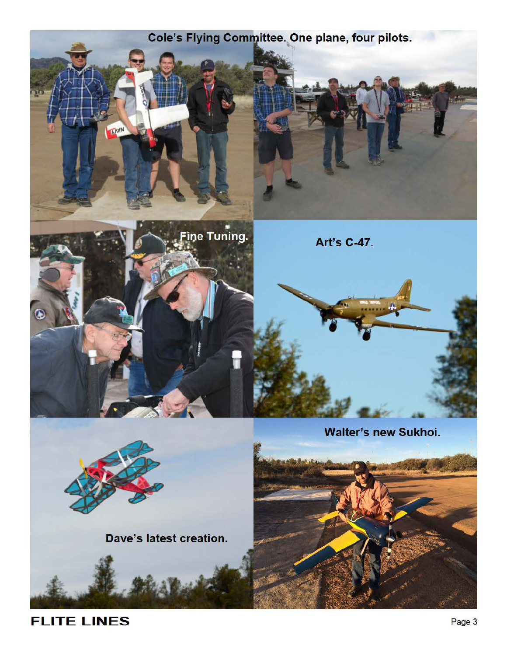

**FLITE LINES**